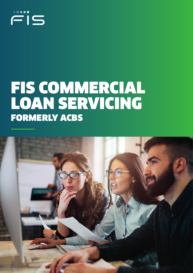# $\dddot{=}$ is

## FIS COMMERCIAL LOAN SERVICING FORMERLY ACBS

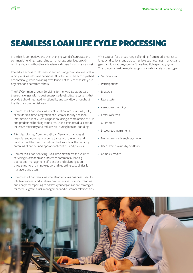### SEAMLESS LOAN LIFE CYCLE PROCESSING

In the highly competitive and ever-changing world of corporate and commercial lending, responding to market opportunities quickly, confidently, and without fear of system and operational risks is a must.

 $\dddot{=}$ i $\in$ 

Immediate access to information and ensuring compliance is vital in rapidly making informed decisions. All of this must be accomplished economically, while providing excellent client service that sets your organization apart from others.

The FIS® Commercial Loan Servicing (formerly ACBS) addresses these challenges with robust enterprise-level software systems that provide tightly integrated functionality and workflow throughout the life of a commercial loan.

- Commercial Loan Servicing Deal Creation into Servicing (DCIS) allows for real time integration of customer, facility and loan information directly from Origination. Using a combination of APIs and predefined booking templates, DCIS eliminates dual capture, increases efficiency and reduces risk during loan on-boarding.
- After deal closing, Commercial Loan Servicing manages all financial and non-financial compliance with the terms and conditions of the deal throughout the life cycle of the credit by enforcing client-defined operational controls and policies.
- Commercial Loan Servicing RealTime maximizes the value of servicing information and increases commercial lending operational management efficiencies and risk mitigation through up-to-the-minute query and reporting capabilities for managers and users.
- Commercial Loan Servicing DataMart enables business users to intuitively access and analyze comprehensive historical trending and analytical reporting to address your organization's strategies for revenue growth, risk management and customer relationships

With support for a broad range of lending, from middle market to large syndications, and across multiple business lines, markets and geographic locations, you don't need multiple specialty systems. The solution's flexible model supports a wide variety of deal types:

- Syndications
- Participations
- Bilaterals
- Real estate
- Asset-based lending
- Letters of credit
- Guarantees
- Discounted instruments
- Multi-currency, branch, portfolio
- User-filtered values by portfolio
- Complex credits

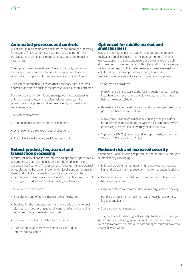#### Automated processes and controls

Client-configurable templates and instructions, manage processing from start to finish, whether structuring deals and performing transactions, or eliminating redundant data entry and reducing input errors.

The sophisticated processing engine automatically queues up transactions, with dates and amounts pre-populated for interest, principal and fee payments, and rate resets for LIBOR rollovers.

The system automatically ensures that necessary data is entered and valid, and stops and flags the process until issues are corrected.

Managers can easily identify and manage workflow bottlenecks, enforce process rules, and reassign tasks as needed, while power screens help users work more efficiently with customers, facilities and loans.

The system also offers:

- Bookmarked favorites to reduce search time
- One-, two- and three-touch approval options
- The ability to make policy decisions by portfolio

#### Robust product, fee, accrual and transaction processing

A variety of interest and fee structures and options support simple to complex structures and include client-defined income and expense classifications. The system also features multiple accrual schedules at the borrower and/or lender level, support for straight, tiered and split accrual methods, and accrual and cash basis accounting with flexible accrual calculation modifiers. You can set accruing and fixed fees at the deal, facility and loan levels.

The system also supports:

- Straight-line and effective interest rate amortization
- Tracking for the forecasted commitment period (prior to deal closing), with supporting general ledger entries and servicing activities prior to the deal closing date
- Back-valued and future-dated transactions
- Automated balance transfer capabilities, including interest capitalization

#### Optimized for middle market and small business

One of the key benefits of the system is its support for middle market and small business. This includes commercial lending escrow support, including automated escrow analysis and bulk disbursement processing for tax authorities and insurance agents for high-volume portfolios. It also features extensive real estate collateral information capture for property, lien, flood, taxes and insurance as well as tenant tracking and appraisals.

The system also provides:

- Prepayment penalty alerts at the facility, section or loan level to flag when payoff events and principal repayments are made before the expected date
- Bank-defined automated non-accrual status changes based on a preset number of delinquent days
- Auto re-amortization based on index pricing changes, or for a pre-determined recast period, as well as ad-hoc requests when processing unscheduled or overpayment of principal
- Support for SBA 7(A) servicing and full report-ready extracts for SBA form 1502 reporting to Colson

#### Reduced risk and increased security

Commercial Loan Servicing helps reduce operational risk through a number of ways, including:

- Enforced credit terms, contract limits, borrowing restrictions, limit and obligor tracking, covenant monitoring, and grid pricing
- Flexible repayment capabilities to maximize control over how billings are generated
- Organized electronic collateral, document and guarantee tracking
- Handling of document attachments and notes for customers, facilities and loans
- Standard payment interfaces

The system is built on the highest security standards to ensure your data is safe, including highly configurable, permissions-based user roles and a complete audit trail of data changes. You will know who changed what, when.

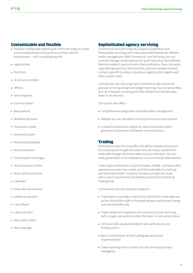#### Customizable and flexible

- Powerful configurable options give clients the ability to create customizable product structures to suit their specific requirements – with no coding required.
- Legal entities
- Portfolios

Ëis

- Gl units/cost centers
- Officers
- Servicing areas
- Common tables
- Bank policies
- Workflow decisions
- Transaction codes
- Instrument types
- Receivables/payables
- Income/expense
- Tickler/system messages
- Security access control
- Multi-currency controls
- Calendars
- Index rate maintenance
- Collateral valuation
- Cash offsets
- Label overrides
- Description editor
- Menu manager

#### Sophisticated agency servicing

Commercial Loan Servicing fully supports Syndication and Participation servicing, with many specialized features for efficient lender management. With Commercial Loan Servicing, you can centrally manage investor groups for quick deal setup. Spreadsheetlike entry makes it quick to enter initial syndication. Users can easily copy bank groups from other facilities and track multiple investor contacts specific to a deal, including co-agents, admin agents and other investor roles.

Commercial Loan Servicing tracks individual lender records for granular servicing and general ledger reporting. You can spread fees, accrual schedules, invoicing and other details from the borrower down to all investors.

The system also offers:

- Comprehensive assignment and reallocation management
- Multiple accrual calculation tracking for borrows and investors
- A powerful notification engine for interactive and/or batch generation of borrower and lender communications

#### **Trading**

Commercial Loan Servicing offers the ability to book and account for traded assets bought and sold in the secondary market from trade date through settlement date, for your institution. You can track global deals in the marketplace in a user-friendly deal browser.

Trade Capture Workshop is used by closers, middle- and back-office operations to enter loan trades, as of the trade date, for both par and distressed trades. A position browser provides the closer with current commitment and settled positions for tranches by trading book.

Commercial Loan Servicing also supports:

- Trade date accounting as set forth by USGAAP, for trade date and as the value of the trade or the expected gains and losses change over the trade life cycle
- Trade settlement integration with Commercial Loan Servicing, with a single-user action at either the trade- or sub-account level
- LSTA and LMA required standard trade confirmation and funding memo
- Bank customization of loan trading operations and implementation
- Trade reporting from Commercial Loan Servicing business intelligence